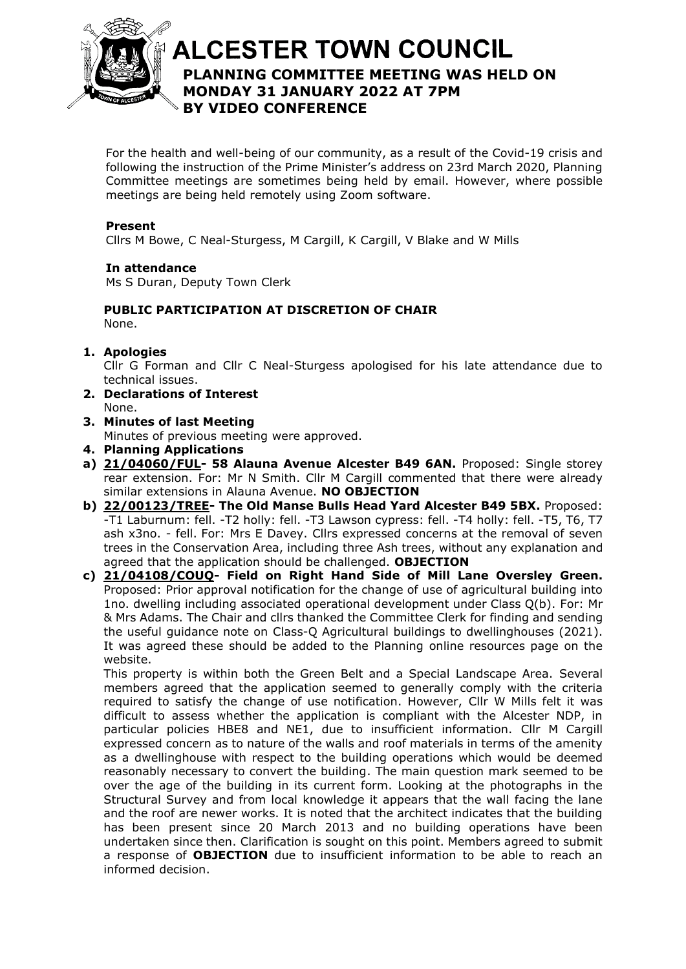

# **ALCESTER TOWN COUNCIL PLANNING COMMITTEE MEETING WAS HELD ON**  At the discretion of the Chair **MONDAY 31 JANUARY 2022 AT 7PM BY VIDEO CONFERENCE**

For the health and well-being of our community, as a result of the Covid-19 crisis and following the instruction of the Prime Minister's address on 23rd March 2020, Planning Committee meetings are sometimes being held by email. However, where possible meetings are being held remotely using Zoom software.

## **Present**

Cllrs M Bowe, C Neal-Sturgess, M Cargill, K Cargill, V Blake and W Mills

### **In attendance**

Ms S Duran, Deputy Town Clerk

# **PUBLIC PARTICIPATION AT DISCRETION OF CHAIR**

None.

## **1. Apologies**

Cllr G Forman and Cllr C Neal-Sturgess apologised for his late attendance due to technical issues.

- **2. Declarations of Interest** None.
- **3. Minutes of last Meeting**

Minutes of previous meeting were approved.

- **4. Planning Applications**
- **a) [21/04060/FUL-](https://apps.stratford.gov.uk/eplanning/AppDetail.aspx?appkey=R4IY4DPMG4400) 58 Alauna Avenue Alcester B49 6AN.** Proposed: Single storey rear extension. For: Mr N Smith. Cllr M Cargill commented that there were already similar extensions in Alauna Avenue. **NO OBJECTION**
- **b) [22/00123/TREE-](https://apps.stratford.gov.uk/eplanning/AppDetail.aspx?appkey=R5OWZZPMFT400) The Old Manse Bulls Head Yard Alcester B49 5BX.** Proposed: -T1 Laburnum: fell. -T2 holly: fell. -T3 Lawson cypress: fell. -T4 holly: fell. -T5, T6, T7 ash x3no. - fell. For: Mrs E Davey. Cllrs expressed concerns at the removal of seven trees in the Conservation Area, including three Ash trees, without any explanation and agreed that the application should be challenged. **OBJECTION**
- **c) [21/04108/COUQ-](https://apps.stratford.gov.uk/eplanning/AppDetail.aspx?appkey=R5JP4PPM00E00) Field on Right Hand Side of Mill Lane Oversley Green.**  Proposed: Prior approval notification for the change of use of agricultural building into 1no. dwelling including associated operational development under Class Q(b). For: Mr & Mrs Adams. The Chair and cllrs thanked the Committee Clerk for finding and sending the useful guidance note on Class-Q Agricultural buildings to dwellinghouses (2021). It was agreed these should be added to the Planning online resources page on the website.

This property is within both the Green Belt and a Special Landscape Area. Several members agreed that the application seemed to generally comply with the criteria required to satisfy the change of use notification. However, Cllr W Mills felt it was difficult to assess whether the application is compliant with the Alcester NDP, in particular policies HBE8 and NE1, due to insufficient information. Cllr M Cargill expressed concern as to nature of the walls and roof materials in terms of the amenity as a dwellinghouse with respect to the building operations which would be deemed reasonably necessary to convert the building. The main question mark seemed to be over the age of the building in its current form. Looking at the photographs in the Structural Survey and from local knowledge it appears that the wall facing the lane and the roof are newer works. It is noted that the architect indicates that the building has been present since 20 March 2013 and no building operations have been undertaken since then. Clarification is sought on this point. Members agreed to submit a response of **OBJECTION** due to insufficient information to be able to reach an informed decision.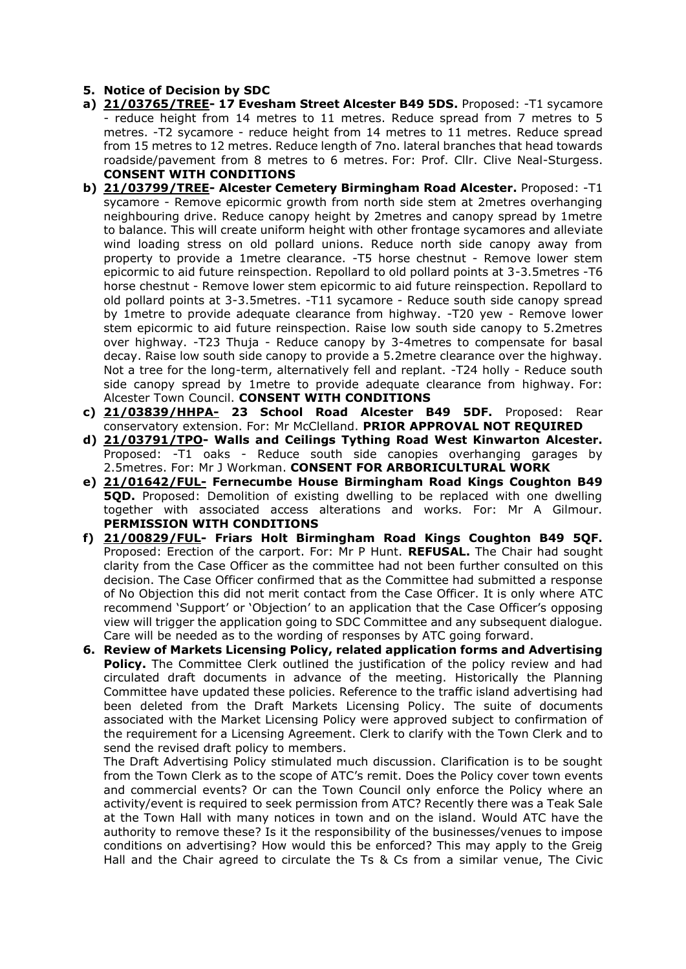#### **5. Notice of Decision by SDC**

- **a) [21/03765/TREE-](https://apps.stratford.gov.uk/eplanning/AppDetail.aspx?appkey=R3BQ91PMN1M00) 17 Evesham Street Alcester B49 5DS.** Proposed: -T1 sycamore - reduce height from 14 metres to 11 metres. Reduce spread from 7 metres to 5 metres. -T2 sycamore - reduce height from 14 metres to 11 metres. Reduce spread from 15 metres to 12 metres. Reduce length of 7no. lateral branches that head towards roadside/pavement from 8 metres to 6 metres. For: Prof. Cllr. Clive Neal-Sturgess. **CONSENT WITH CONDITIONS**
- **b) [21/03799/TREE-](https://apps.stratford.gov.uk/eplanning/AppDetail.aspx?appkey=R3FFPIPMGMF00) Alcester Cemetery Birmingham Road Alcester.** Proposed: -T1 sycamore - Remove epicormic growth from north side stem at 2metres overhanging neighbouring drive. Reduce canopy height by 2metres and canopy spread by 1metre to balance. This will create uniform height with other frontage sycamores and alleviate wind loading stress on old pollard unions. Reduce north side canopy away from property to provide a 1metre clearance. -T5 horse chestnut - Remove lower stem epicormic to aid future reinspection. Repollard to old pollard points at 3-3.5metres -T6 horse chestnut - Remove lower stem epicormic to aid future reinspection. Repollard to old pollard points at 3-3.5metres. -T11 sycamore - Reduce south side canopy spread by 1metre to provide adequate clearance from highway. -T20 yew - Remove lower stem epicormic to aid future reinspection. Raise low south side canopy to 5.2metres over highway. -T23 Thuja - Reduce canopy by 3-4metres to compensate for basal decay. Raise low south side canopy to provide a 5.2metre clearance over the highway. Not a tree for the long-term, alternatively fell and replant. -T24 holly - Reduce south side canopy spread by 1metre to provide adequate clearance from highway. For: Alcester Town Council. **CONSENT WITH CONDITIONS**
- **c) [21/03839/HHPA-](https://apps.stratford.gov.uk/eplanning/AppDetail.aspx?appkey=R3JAV5PM0IH00) 23 School Road Alcester B49 5DF.** Proposed: Rear conservatory extension. For: Mr McClelland. **PRIOR APPROVAL NOT REQUIRED**
- **d) [21/03791/TPO-](https://apps.stratford.gov.uk/eplanning/AppDetail.aspx?appkey=R3E612PM0GL00) Walls and Ceilings Tything Road West Kinwarton Alcester.** Proposed: -T1 oaks - Reduce south side canopies overhanging garages by 2.5metres. For: Mr J Workman. **CONSENT FOR ARBORICULTURAL WORK**
- **e) [21/01642/FUL-](https://apps.stratford.gov.uk/eplanning/AppDetail.aspx?appkey=QT8ZYSPMG3U00) Fernecumbe House Birmingham Road Kings Coughton B49 5QD.** Proposed: Demolition of existing dwelling to be replaced with one dwelling together with associated access alterations and works. For: Mr A Gilmour. **PERMISSION WITH CONDITIONS**
- **f) [21/00829/FUL-](https://apps.stratford.gov.uk/eplanning/AppDetail.aspx?appkey=QQ03RJPMFL100) Friars Holt Birmingham Road Kings Coughton B49 5QF.** Proposed: Erection of the carport. For: Mr P Hunt. **REFUSAL.** The Chair had sought clarity from the Case Officer as the committee had not been further consulted on this decision. The Case Officer confirmed that as the Committee had submitted a response of No Objection this did not merit contact from the Case Officer. It is only where ATC recommend 'Support' or 'Objection' to an application that the Case Officer's opposing view will trigger the application going to SDC Committee and any subsequent dialogue. Care will be needed as to the wording of responses by ATC going forward.
- **6. Review of Markets Licensing Policy, related application forms and Advertising Policy.** The Committee Clerk outlined the justification of the policy review and had circulated draft documents in advance of the meeting. Historically the Planning Committee have updated these policies. Reference to the traffic island advertising had been deleted from the Draft Markets Licensing Policy. The suite of documents associated with the Market Licensing Policy were approved subject to confirmation of the requirement for a Licensing Agreement. Clerk to clarify with the Town Clerk and to send the revised draft policy to members.

The Draft Advertising Policy stimulated much discussion. Clarification is to be sought from the Town Clerk as to the scope of ATC's remit. Does the Policy cover town events and commercial events? Or can the Town Council only enforce the Policy where an activity/event is required to seek permission from ATC? Recently there was a Teak Sale at the Town Hall with many notices in town and on the island. Would ATC have the authority to remove these? Is it the responsibility of the businesses/venues to impose conditions on advertising? How would this be enforced? This may apply to the Greig Hall and the Chair agreed to circulate the Ts & Cs from a similar venue, The Civic